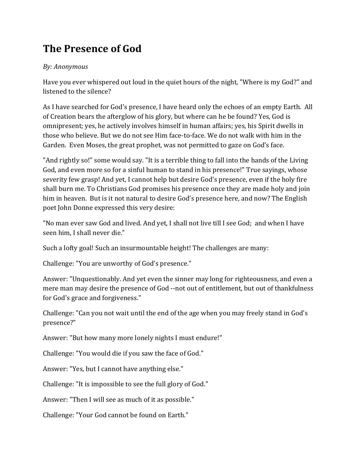## **The Presence of God**

## *By: Anonymous*

Have you ever whispered out loud in the quiet hours of the night, "Where is my God?" and listened to the silence?

As I have searched for God's presence, I have heard only the echoes of an empty Earth. All of Creation bears the afterglow of his glory, but where can he be found? Yes. God is omnipresent; yes, he actively involves himself in human affairs; yes, his Spirit dwells in those who believe. But we do not see Him face-to-face. We do not walk with him in the Garden. Even Moses, the great prophet, was not permitted to gaze on God's face.

"And rightly so!" some would say. "It is a terrible thing to fall into the hands of the Living God, and even more so for a sinful human to stand in his presence!" True sayings, whose severity few grasp! And yet, I cannot help but desire God's presence, even if the holy fire shall burn me. To Christians God promises his presence once they are made holy and join him in heaven. But is it not natural to desire God's presence here, and now? The English poet John Donne expressed this very desire:

"No man ever saw God and lived. And yet, I shall not live till I see God; and when I have seen him, I shall never die."

Such a lofty goal! Such an insurmountable height! The challenges are many:

Challenge: "You are unworthy of God's presence."

Answer: "Unquestionably. And yet even the sinner may long for righteousness, and even a mere man may desire the presence of God --not out of entitlement, but out of thankfulness for God's grace and forgiveness."

Challenge: "Can you not wait until the end of the age when you may freely stand in God's presence?"

Answer: "But how many more lonely nights I must endure!"

Challenge: "You would die if you saw the face of God."

Answer: "Yes, but I cannot have anything else."

Challenge: "It is impossible to see the full glory of God."

Answer: "Then I will see as much of it as possible."

Challenge: "Your God cannot be found on Earth."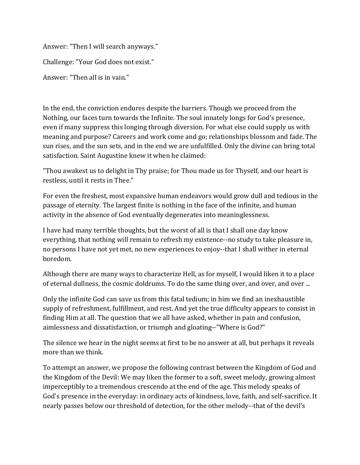Answer: "Then I will search anyways."

Challenge: "Your God does not exist."

Answer: "Then all is in vain."

In the end, the conviction endures despite the barriers. Though we proceed from the Nothing, our faces turn towards the Infinite. The soul innately longs for God's presence, even if many suppress this longing through diversion. For what else could supply us with meaning and purpose? Careers and work come and go; relationships blossom and fade. The sun rises, and the sun sets, and in the end we are unfulfilled. Only the divine can bring total satisfaction. Saint Augustine knew it when he claimed:

"Thou awakest us to delight in Thy praise; for Thou made us for Thyself, and our heart is restless, until it rests in Thee."

For even the freshest, most expansive human endeavors would grow dull and tedious in the passage of eternity. The largest finite is nothing in the face of the infinite, and human activity in the absence of God eventually degenerates into meaninglessness.

I have had many terrible thoughts, but the worst of all is that I shall one day know everything, that nothing will remain to refresh my existence--no study to take pleasure in, no persons I have not yet met, no new experiences to enjoy--that I shall wither in eternal boredom. 

Although there are many ways to characterize Hell, as for myself, I would liken it to a place of eternal dullness, the cosmic doldrums. To do the same thing over, and over, and over ...

Only the infinite God can save us from this fatal tedium; in him we find an inexhaustible supply of refreshment, fulfillment, and rest. And yet the true difficulty appears to consist in finding Him at all. The question that we all have asked, whether in pain and confusion, aimlessness and dissatisfaction, or triumph and gloating--"Where is God?"

The silence we hear in the night seems at first to be no answer at all, but perhaps it reveals more than we think.

To attempt an answer, we propose the following contrast between the Kingdom of God and the Kingdom of the Devil: We may liken the former to a soft, sweet melody, growing almost imperceptibly to a tremendous crescendo at the end of the age. This melody speaks of God's presence in the everyday: in ordinary acts of kindness, love, faith, and self-sacrifice. It nearly passes below our threshold of detection, for the other melody--that of the devil's